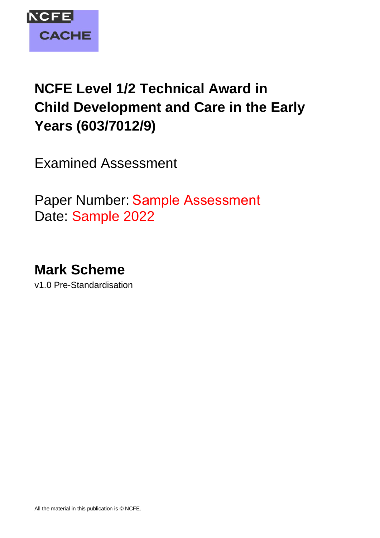

# **NCFE Level 1/2 Technical Award in Child Development and Care in the Early Years (603/7012/9)**

Examined Assessment

Paper Number: Sample Assessment  Date: Sample 2022

**Mark Scheme**

v1.0 Pre-Standardisation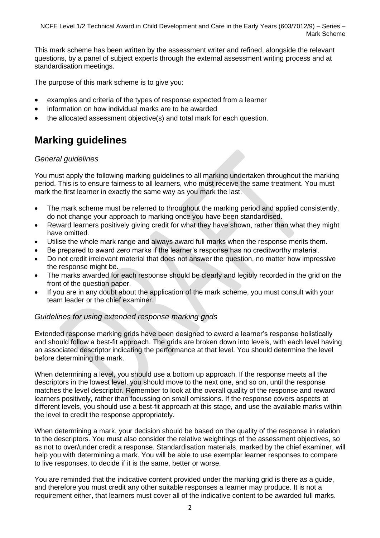This mark scheme has been written by the assessment writer and refined, alongside the relevant questions, by a panel of subject experts through the external assessment writing process and at standardisation meetings.

The purpose of this mark scheme is to give you:

- examples and criteria of the types of response expected from a learner
- information on how individual marks are to be awarded
- the allocated assessment objective(s) and total mark for each question.

## **Marking guidelines**

#### *General guidelines*

You must apply the following marking guidelines to all marking undertaken throughout the marking period. This is to ensure fairness to all learners, who must receive the same treatment. You must mark the first learner in exactly the same way as you mark the last.

- The mark scheme must be referred to throughout the marking period and applied consistently, do not change your approach to marking once you have been standardised.
- Reward learners positively giving credit for what they have shown, rather than what they might have omitted.
- Utilise the whole mark range and always award full marks when the response merits them.
- Be prepared to award zero marks if the learner's response has no creditworthy material.
- Do not credit irrelevant material that does not answer the question, no matter how impressive the response might be.
- The marks awarded for each response should be clearly and legibly recorded in the grid on the front of the question paper.
- If you are in any doubt about the application of the mark scheme, you must consult with your team leader or the chief examiner.

#### *Guidelines for using extended response marking grids*

Extended response marking grids have been designed to award a learner's response holistically and should follow a best-fit approach. The grids are broken down into levels, with each level having an associated descriptor indicating the performance at that level. You should determine the level before determining the mark.

When determining a level, you should use a bottom up approach. If the response meets all the descriptors in the lowest level, you should move to the next one, and so on, until the response matches the level descriptor. Remember to look at the overall quality of the response and reward learners positively, rather than focussing on small omissions. If the response covers aspects at different levels, you should use a best-fit approach at this stage, and use the available marks within the level to credit the response appropriately.

When determining a mark, your decision should be based on the quality of the response in relation to the descriptors. You must also consider the relative weightings of the assessment objectives, so as not to over/under credit a response. Standardisation materials, marked by the chief examiner, will help you with determining a mark. You will be able to use exemplar learner responses to compare to live responses, to decide if it is the same, better or worse.

You are reminded that the indicative content provided under the marking grid is there as a guide, and therefore you must credit any other suitable responses a learner may produce. It is not a requirement either, that learners must cover all of the indicative content to be awarded full marks.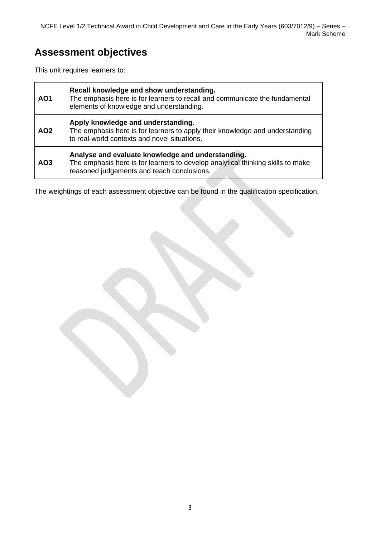## **Assessment objectives**

This unit requires learners to:

| AO <sub>1</sub> | Recall knowledge and show understanding.<br>The emphasis here is for learners to recall and communicate the fundamental<br>elements of knowledge and understanding.                |
|-----------------|------------------------------------------------------------------------------------------------------------------------------------------------------------------------------------|
| AO <sub>2</sub> | Apply knowledge and understanding.<br>The emphasis here is for learners to apply their knowledge and understanding<br>to real-world contexts and novel situations.                 |
| AO <sub>3</sub> | Analyse and evaluate knowledge and understanding.<br>The emphasis here is for learners to develop analytical thinking skills to make<br>reasoned judgements and reach conclusions. |

The weightings of each assessment objective can be found in the qualification specification.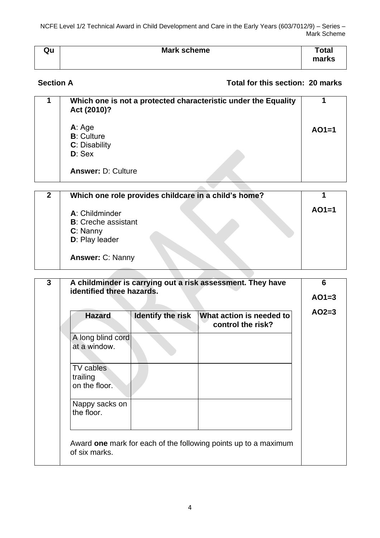NCFE Level 1/2 Technical Award in Child Development and Care in the Early Years (603/7012/9) – Series – Mark Scheme

| Qu | <b>Mark scheme</b> | Total<br>marks |
|----|--------------------|----------------|
|    |                    |                |

### **Section A Total for this section: 20 marks**

| Which one is not a protected characteristic under the Equality<br>Act (2010)? |         |
|-------------------------------------------------------------------------------|---------|
| A: Age<br><b>B</b> : Culture<br>C: Disability<br>$D:$ Sex                     | $AO1=1$ |
| <b>Answer: D: Culture</b>                                                     |         |
|                                                                               |         |

| Which one role provides childcare in a child's home? |         |
|------------------------------------------------------|---------|
| A: Childminder                                       | $AO1=1$ |
| <b>B:</b> Creche assistant                           |         |
| C: Nanny                                             |         |
| D: Play leader                                       |         |
| <b>Answer: C: Nanny</b>                              |         |
|                                                      |         |
|                                                      |         |

| <b>Hazard</b>                          | <b>Identify the risk</b> | What action is needed to<br>control the risk? |
|----------------------------------------|--------------------------|-----------------------------------------------|
| A long blind cord<br>at a window.      |                          |                                               |
| TV cables<br>trailing<br>on the floor. |                          |                                               |
| Nappy sacks on<br>the floor.           |                          |                                               |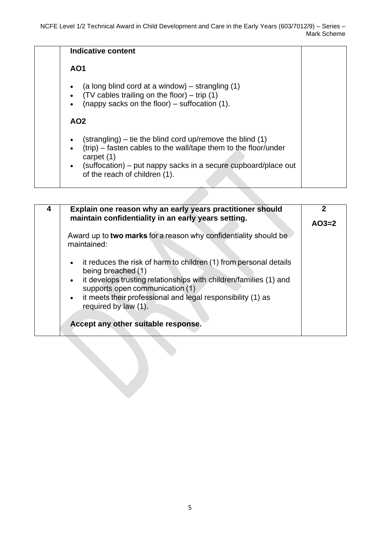|                                     | Indicative content                                                                                                                                                                                                                                      |
|-------------------------------------|---------------------------------------------------------------------------------------------------------------------------------------------------------------------------------------------------------------------------------------------------------|
|                                     | <b>AO1</b>                                                                                                                                                                                                                                              |
| $\bullet$<br>$\bullet$<br>$\bullet$ | (a long blind cord at a window) $-$ strangling (1)<br>$(TV$ cables trailing on the floor) – trip (1)<br>(nappy sacks on the floor) – suffocation $(1)$ .<br>AO <sub>2</sub>                                                                             |
| $\bullet$<br>$\bullet$<br>$\bullet$ | $(\text{stranging})$ – tie the blind cord up/remove the blind (1)<br>(trip) – fasten cables to the wall/tape them to the floor/under<br>carpet $(1)$<br>(suffocation) – put nappy sacks in a secure cupboard/place out<br>of the reach of children (1). |

| Explain one reason why an early years practitioner should<br>maintain confidentiality in an early years setting.                                                                                                                                                                                                                                          | $AO3=2$ |
|-----------------------------------------------------------------------------------------------------------------------------------------------------------------------------------------------------------------------------------------------------------------------------------------------------------------------------------------------------------|---------|
| Award up to two marks for a reason why confidentiality should be<br>maintained:                                                                                                                                                                                                                                                                           |         |
| it reduces the risk of harm to children (1) from personal details<br>$\bullet$<br>being breached (1)<br>• it develops trusting relationships with children/families (1) and<br>supports open communication (1)<br>it meets their professional and legal responsibility (1) as<br>$\bullet$<br>required by law (1).<br>Accept any other suitable response. |         |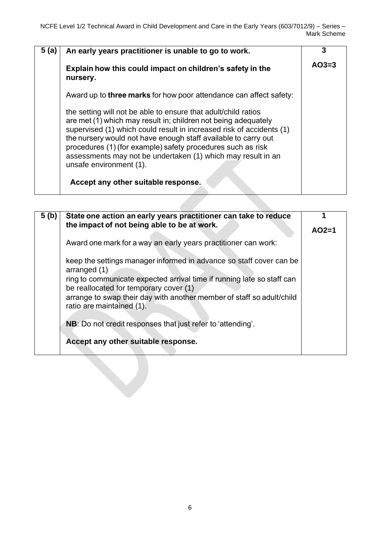| 5(a) | An early years practitioner is unable to go to work.                                                                                                                                                                                                                                                                                                                                                                                 | 3       |
|------|--------------------------------------------------------------------------------------------------------------------------------------------------------------------------------------------------------------------------------------------------------------------------------------------------------------------------------------------------------------------------------------------------------------------------------------|---------|
|      | Explain how this could impact on children's safety in the<br>nursery.                                                                                                                                                                                                                                                                                                                                                                | $AO3=3$ |
|      | Award up to <b>three marks</b> for how poor attendance can affect safety:                                                                                                                                                                                                                                                                                                                                                            |         |
|      | the setting will not be able to ensure that adult/child ratios<br>are met (1) which may result in; children not being adequately<br>supervised (1) which could result in increased risk of accidents (1)<br>the nursery would not have enough staff available to carry out<br>procedures (1) (for example) safety procedures such as risk<br>assessments may not be undertaken (1) which may result in an<br>unsafe environment (1). |         |
|      | Accept any other suitable response.                                                                                                                                                                                                                                                                                                                                                                                                  |         |

| 5(b) | State one action an early years practitioner can take to reduce<br>the impact of not being able to be at work.                                                                                                                                                                                                | $AO2=1$ |
|------|---------------------------------------------------------------------------------------------------------------------------------------------------------------------------------------------------------------------------------------------------------------------------------------------------------------|---------|
|      | Award one mark for a way an early years practitioner can work:                                                                                                                                                                                                                                                |         |
|      | keep the settings manager informed in advance so staff cover can be<br>arranged (1)<br>ring to communicate expected arrival time if running late so staff can<br>be reallocated for temporary cover (1)<br>arrange to swap their day with another member of staff so adult/child<br>ratio are maintained (1). |         |
|      | NB: Do not credit responses that just refer to 'attending'.                                                                                                                                                                                                                                                   |         |
|      | Accept any other suitable response.                                                                                                                                                                                                                                                                           |         |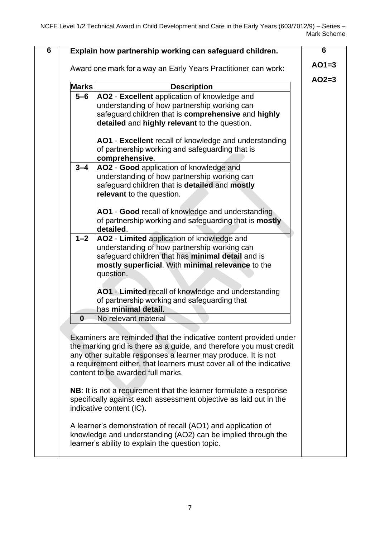| <b>Marks</b> | <b>Description</b>                                                                                                                                                                                                                                                                                                     |
|--------------|------------------------------------------------------------------------------------------------------------------------------------------------------------------------------------------------------------------------------------------------------------------------------------------------------------------------|
| $5 - 6$      | AO2 - Excellent application of knowledge and                                                                                                                                                                                                                                                                           |
|              | understanding of how partnership working can                                                                                                                                                                                                                                                                           |
|              | safeguard children that is comprehensive and highly<br>detailed and highly relevant to the question.                                                                                                                                                                                                                   |
|              | AO1 - Excellent recall of knowledge and understanding                                                                                                                                                                                                                                                                  |
|              | of partnership working and safeguarding that is                                                                                                                                                                                                                                                                        |
|              | comprehensive.                                                                                                                                                                                                                                                                                                         |
| $3 - 4$      | AO2 - Good application of knowledge and                                                                                                                                                                                                                                                                                |
|              | understanding of how partnership working can                                                                                                                                                                                                                                                                           |
|              | safeguard children that is detailed and mostly                                                                                                                                                                                                                                                                         |
|              | relevant to the question.                                                                                                                                                                                                                                                                                              |
|              | AO1 - Good recall of knowledge and understanding                                                                                                                                                                                                                                                                       |
|              | of partnership working and safeguarding that is mostly                                                                                                                                                                                                                                                                 |
|              | detailed.                                                                                                                                                                                                                                                                                                              |
| $1 - 2$      | AO2 - Limited application of knowledge and                                                                                                                                                                                                                                                                             |
|              | understanding of how partnership working can                                                                                                                                                                                                                                                                           |
|              | safeguard children that has minimal detail and is<br>mostly superficial. With minimal relevance to the                                                                                                                                                                                                                 |
|              | question.                                                                                                                                                                                                                                                                                                              |
|              |                                                                                                                                                                                                                                                                                                                        |
|              | AO1 - Limited recall of knowledge and understanding                                                                                                                                                                                                                                                                    |
|              | of partnership working and safeguarding that                                                                                                                                                                                                                                                                           |
|              | has minimal detail.                                                                                                                                                                                                                                                                                                    |
| 0            | No relevant material                                                                                                                                                                                                                                                                                                   |
|              | Examiners are reminded that the indicative content provided under<br>the marking grid is there as a guide, and therefore you must credit<br>any other suitable responses a learner may produce. It is not<br>a requirement either, that learners must cover all of the indicative<br>content to be awarded full marks. |
|              | NB: It is not a requirement that the learner formulate a response<br>specifically against each assessment objective as laid out in the<br>indicative content (IC).                                                                                                                                                     |
|              |                                                                                                                                                                                                                                                                                                                        |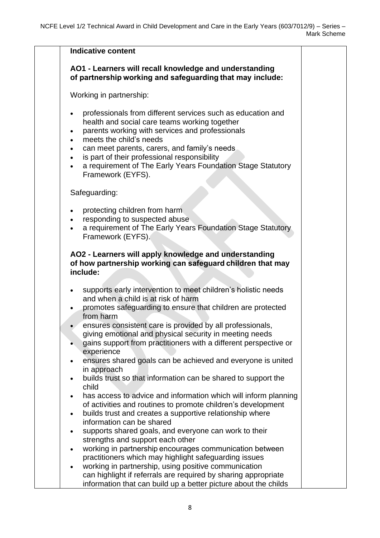| <b>Indicative content</b>                                                                                                                                                                                                                                                                                                                                                                                                                                                                                                                                                                                                                                                                                                                                                   |  |
|-----------------------------------------------------------------------------------------------------------------------------------------------------------------------------------------------------------------------------------------------------------------------------------------------------------------------------------------------------------------------------------------------------------------------------------------------------------------------------------------------------------------------------------------------------------------------------------------------------------------------------------------------------------------------------------------------------------------------------------------------------------------------------|--|
| AO1 - Learners will recall knowledge and understanding<br>of partnership working and safeguarding that may include:                                                                                                                                                                                                                                                                                                                                                                                                                                                                                                                                                                                                                                                         |  |
| Working in partnership:                                                                                                                                                                                                                                                                                                                                                                                                                                                                                                                                                                                                                                                                                                                                                     |  |
| professionals from different services such as education and<br>$\bullet$<br>health and social care teams working together<br>parents working with services and professionals<br>meets the child's needs<br>can meet parents, carers, and family's needs<br>is part of their professional responsibility<br>$\bullet$<br>a requirement of The Early Years Foundation Stage Statutory<br>$\bullet$<br>Framework (EYFS).                                                                                                                                                                                                                                                                                                                                                       |  |
| Safeguarding:                                                                                                                                                                                                                                                                                                                                                                                                                                                                                                                                                                                                                                                                                                                                                               |  |
| protecting children from harm<br>responding to suspected abuse<br>a requirement of The Early Years Foundation Stage Statutory<br>Framework (EYFS).                                                                                                                                                                                                                                                                                                                                                                                                                                                                                                                                                                                                                          |  |
| AO2 - Learners will apply knowledge and understanding<br>of how partnership working can safeguard children that may<br>include:                                                                                                                                                                                                                                                                                                                                                                                                                                                                                                                                                                                                                                             |  |
| supports early intervention to meet children's holistic needs<br>$\bullet$<br>and when a child is at risk of harm<br>promotes safeguarding to ensure that children are protected<br>from harm<br>ensures consistent care is provided by all professionals,<br>giving emotional and physical security in meeting needs<br>gains support from practitioners with a different perspective or<br>experience<br>ensures shared goals can be achieved and everyone is united<br>in approach<br>builds trust so that information can be shared to support the<br>child<br>has access to advice and information which will inform planning<br>of activities and routines to promote children's development<br>builds trust and creates a supportive relationship where<br>$\bullet$ |  |
| information can be shared<br>supports shared goals, and everyone can work to their<br>$\bullet$<br>strengths and support each other<br>working in partnership encourages communication between<br>practitioners which may highlight safeguarding issues<br>working in partnership, using positive communication<br>can highlight if referrals are required by sharing appropriate                                                                                                                                                                                                                                                                                                                                                                                           |  |
| information that can build up a better picture about the childs                                                                                                                                                                                                                                                                                                                                                                                                                                                                                                                                                                                                                                                                                                             |  |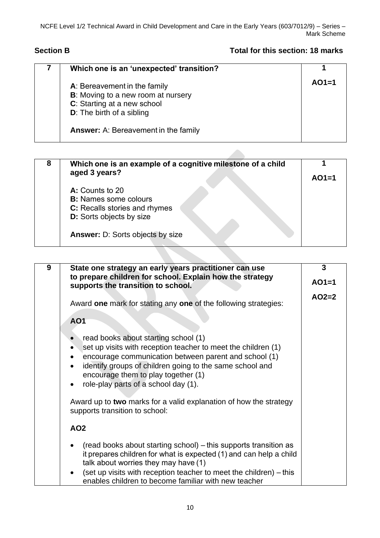### **Section B Total for this section: 18 marks**

| Which one is an 'unexpected' transition?                                                                                                      |         |
|-----------------------------------------------------------------------------------------------------------------------------------------------|---------|
| A: Bereavement in the family<br><b>B</b> : Moving to a new room at nursery<br>C: Starting at a new school<br><b>D:</b> The birth of a sibling | $AO1=1$ |
| <b>Answer:</b> A: Bereavement in the family                                                                                                   |         |

| 8 | Which one is an example of a cognitive milestone of a child<br>aged 3 years? |         |
|---|------------------------------------------------------------------------------|---------|
|   |                                                                              | $AO1=1$ |
|   | A: Counts to 20                                                              |         |
|   | <b>B:</b> Names some colours                                                 |         |
|   | C: Recalls stories and rhymes                                                |         |
|   | <b>D:</b> Sorts objects by size                                              |         |
|   | <b>Answer: D: Sorts objects by size</b>                                      |         |
|   |                                                                              |         |

| 9 | State one strategy an early years practitioner can use                                                                                                                                                                                                                                                       | 3       |
|---|--------------------------------------------------------------------------------------------------------------------------------------------------------------------------------------------------------------------------------------------------------------------------------------------------------------|---------|
|   | to prepare children for school. Explain how the strategy<br>supports the transition to school.                                                                                                                                                                                                               | $AO1=1$ |
|   | Award one mark for stating any one of the following strategies:                                                                                                                                                                                                                                              | $AO2=2$ |
|   | <b>AO1</b>                                                                                                                                                                                                                                                                                                   |         |
|   | read books about starting school (1)<br>set up visits with reception teacher to meet the children (1)<br>encourage communication between parent and school (1)<br>identify groups of children going to the same school and<br>encourage them to play together (1)<br>role-play parts of a school day (1).    |         |
|   | Award up to two marks for a valid explanation of how the strategy<br>supports transition to school:                                                                                                                                                                                                          |         |
|   | <b>AO2</b>                                                                                                                                                                                                                                                                                                   |         |
|   | (read books about starting school) – this supports transition as<br>it prepares children for what is expected (1) and can help a child<br>talk about worries they may have (1)<br>(set up visits with reception teacher to meet the children) - this<br>enables children to become familiar with new teacher |         |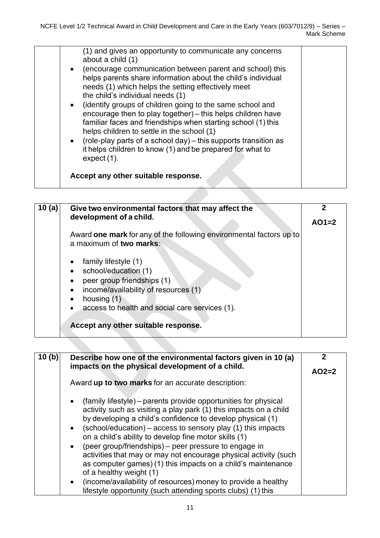| (1) and gives an opportunity to communicate any concerns<br>about a child (1)<br>(encourage communication between parent and school) this<br>$\bullet$<br>helps parents share information about the child's individual<br>needs (1) which helps the setting effectively meet<br>the child's individual needs (1)<br>• (identify groups of children going to the same school and<br>encourage then to play together) - this helps children have<br>familiar faces and friendships when starting school (1) this<br>helps children to settle in the school (1)<br>• (role-play parts of a school day) – this supports transition as<br>it helps children to know (1) and be prepared for what to<br>expect (1).<br>Accept any other suitable response. |  |
|------------------------------------------------------------------------------------------------------------------------------------------------------------------------------------------------------------------------------------------------------------------------------------------------------------------------------------------------------------------------------------------------------------------------------------------------------------------------------------------------------------------------------------------------------------------------------------------------------------------------------------------------------------------------------------------------------------------------------------------------------|--|
|                                                                                                                                                                                                                                                                                                                                                                                                                                                                                                                                                                                                                                                                                                                                                      |  |

| 10 $(a)$ | Give two environmental factors that may affect the<br>development of a child.                                                                                                                                                           | $AO1=2$ |
|----------|-----------------------------------------------------------------------------------------------------------------------------------------------------------------------------------------------------------------------------------------|---------|
|          | Award one mark for any of the following environmental factors up to<br>a maximum of two marks:                                                                                                                                          |         |
|          | family lifestyle (1)<br>school/education (1)<br>peer group friendships (1)<br>income/availability of resources (1)<br>$\bullet$<br>housing (1)<br>access to health and social care services (1).<br>Accept any other suitable response. |         |

| 10(b) | Describe how one of the environmental factors given in 10 (a)                                                                                                                                                                                                                                                                                                                                                                                                                                                                                                    | 2       |
|-------|------------------------------------------------------------------------------------------------------------------------------------------------------------------------------------------------------------------------------------------------------------------------------------------------------------------------------------------------------------------------------------------------------------------------------------------------------------------------------------------------------------------------------------------------------------------|---------|
|       | impacts on the physical development of a child.                                                                                                                                                                                                                                                                                                                                                                                                                                                                                                                  | $AO2=2$ |
|       | Award up to two marks for an accurate description:                                                                                                                                                                                                                                                                                                                                                                                                                                                                                                               |         |
|       | (family lifestyle) – parents provide opportunities for physical<br>$\bullet$<br>activity such as visiting a play park (1) this impacts on a child<br>by developing a child's confidence to develop physical (1)<br>(school/education) – access to sensory play (1) this impacts<br>on a child's ability to develop fine motor skills (1)<br>(peer group/friendships) - peer pressure to engage in<br>activities that may or may not encourage physical activity (such<br>as computer games) (1) this impacts on a child's maintenance<br>of a healthy weight (1) |         |
|       | (income/availability of resources) money to provide a healthy<br>$\bullet$<br>lifestyle opportunity (such attending sports clubs) (1) this                                                                                                                                                                                                                                                                                                                                                                                                                       |         |
|       |                                                                                                                                                                                                                                                                                                                                                                                                                                                                                                                                                                  |         |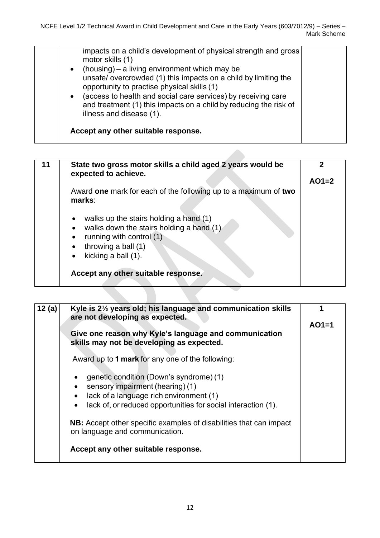| impacts on a child's development of physical strength and gross<br>motor skills (1)<br>• (housing) – a living environment which may be<br>unsafe/overcrowded (1) this impacts on a child by limiting the<br>opportunity to practise physical skills (1)<br>(access to health and social care services) by receiving care<br>$\bullet$<br>and treatment (1) this impacts on a child by reducing the risk of<br>illness and disease (1). |  |
|----------------------------------------------------------------------------------------------------------------------------------------------------------------------------------------------------------------------------------------------------------------------------------------------------------------------------------------------------------------------------------------------------------------------------------------|--|
| Accept any other suitable response.                                                                                                                                                                                                                                                                                                                                                                                                    |  |

| State two gross motor skills a child aged 2 years would be<br>expected to achieve.                                                                                                                  |         |
|-----------------------------------------------------------------------------------------------------------------------------------------------------------------------------------------------------|---------|
|                                                                                                                                                                                                     | $AO1=2$ |
| Award one mark for each of the following up to a maximum of two<br>marks:                                                                                                                           |         |
| walks up the stairs holding a hand (1)<br>walks down the stairs holding a hand (1)<br>$\bullet$<br>running with control (1)<br>$\bullet$<br>throwing a ball (1)<br>$\bullet$<br>kicking a ball (1). |         |
| Accept any other suitable response.                                                                                                                                                                 |         |

| 12 (a) | Kyle is 21/2 years old; his language and communication skills<br>are not developing as expected.                                                                                                     |         |
|--------|------------------------------------------------------------------------------------------------------------------------------------------------------------------------------------------------------|---------|
|        | Give one reason why Kyle's language and communication<br>skills may not be developing as expected.                                                                                                   | $AO1=1$ |
|        | Award up to 1 mark for any one of the following:                                                                                                                                                     |         |
|        | genetic condition (Down's syndrome) (1)<br>sensory impairment (hearing) (1)<br>lack of a language rich environment (1)<br>lack of, or reduced opportunities for social interaction (1).<br>$\bullet$ |         |
|        | <b>NB:</b> Accept other specific examples of disabilities that can impact<br>on language and communication.                                                                                          |         |
|        | Accept any other suitable response.                                                                                                                                                                  |         |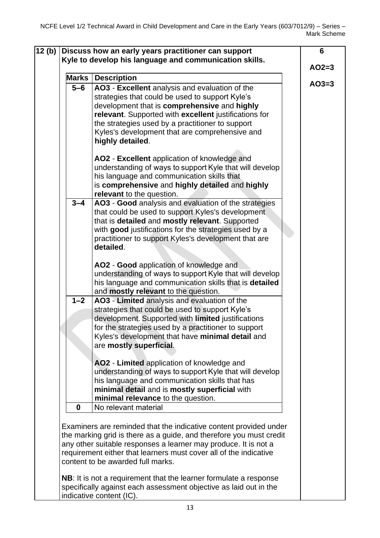| <b>Marks</b> | <b>Description</b>                                                                                                                                                                                                                                                                                                                   |         |
|--------------|--------------------------------------------------------------------------------------------------------------------------------------------------------------------------------------------------------------------------------------------------------------------------------------------------------------------------------------|---------|
| $5 - 6$      | AO3 - Excellent analysis and evaluation of the<br>strategies that could be used to support Kyle's<br>development that is comprehensive and highly<br>relevant. Supported with excellent justifications for<br>the strategies used by a practitioner to support<br>Kyles's development that are comprehensive and<br>highly detailed. | $AO3=3$ |
|              | AO2 - Excellent application of knowledge and<br>understanding of ways to support Kyle that will develop<br>his language and communication skills that<br>is comprehensive and highly detailed and highly<br>relevant to the question.                                                                                                |         |
| $3 - 4$      | AO3 - Good analysis and evaluation of the strategies<br>that could be used to support Kyles's development<br>that is detailed and mostly relevant. Supported<br>with good justifications for the strategies used by a<br>practitioner to support Kyles's development that are<br>detailed.                                           |         |
|              | AO2 - Good application of knowledge and<br>understanding of ways to support Kyle that will develop<br>his language and communication skills that is detailed<br>and mostly relevant to the question.                                                                                                                                 |         |
| $1 - 2$      | AO3 - Limited analysis and evaluation of the<br>strategies that could be used to support Kyle's<br>development. Supported with limited justifications<br>for the strategies used by a practitioner to support<br>Kyles's development that have minimal detail and<br>are mostly superficial.                                         |         |
|              | AO2 - Limited application of knowledge and<br>understanding of ways to support Kyle that will develop<br>his language and communication skills that has<br>minimal detail and is mostly superficial with<br>minimal relevance to the question.                                                                                       |         |
| $\mathbf 0$  | No relevant material<br>Examiners are reminded that the indicative content provided under                                                                                                                                                                                                                                            |         |
|              | the marking grid is there as a guide, and therefore you must credit<br>any other suitable responses a learner may produce. It is not a<br>requirement either that learners must cover all of the indicative<br>content to be awarded full marks.                                                                                     |         |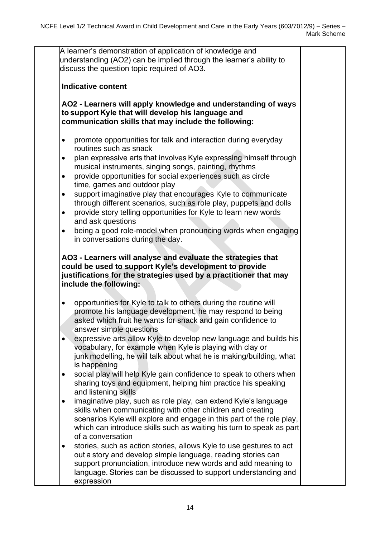A learner's demonstration of application of knowledge and understanding (AO2) can be implied through the learner's ability to discuss the question topic required of AO3. **Indicative content AO2 - Learners will apply knowledge and understanding of ways to support Kyle that will develop his language and communication skills that may include the following:** • promote opportunities for talk and interaction during everyday routines such as snack • plan expressive arts that involves Kyle expressing himself through musical instruments, singing songs, painting, rhythms • provide opportunities for social experiences such as circle time, games and outdoor play • support imaginative play that encourages Kyle to communicate through different scenarios, such as role play, puppets and dolls  • provide story telling opportunities for Kyle to learn new words and ask questions • being a good role-model when pronouncing words when engaging in conversations during the day. **AO3 - Learners will analyse and evaluate the strategies that could be used to support Kyle's development to provide justifications for the strategies used by a practitioner that may include the following:** • opportunities for Kyle to talk to others during the routine will promote his language development, he may respond to being asked which fruit he wants for snack and gain confidence to answer simple questions • expressive arts allow Kyle to develop new language and builds his vocabulary, for example when Kyle is playing with clay or junk modelling, he will talk about what he is making/building, what is happening  • social play will help Kyle gain confidence to speak to others when sharing toys and equipment, helping him practice his speaking and listening skills • imaginative play, such as role play, can extend Kyle's language skills when communicating with other children and creating scenarios Kyle will explore and engage in this part of the role play, which can introduce skills such as waiting his turn to speak as part of a conversation • stories, such as action stories, allows Kyle to use gestures to act out a story and develop simple language, reading stories can support pronunciation, introduce new words and add meaning to language. Stories can be discussed to support understanding and expression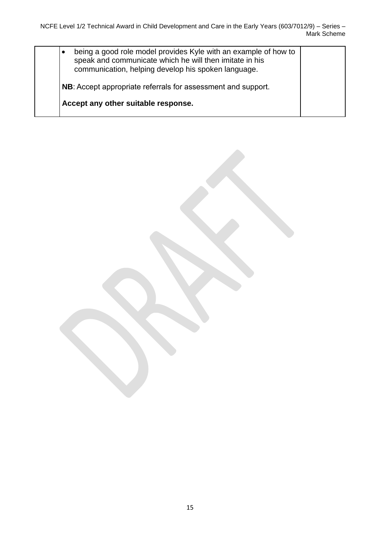| being a good role model provides Kyle with an example of how to<br>٠<br>speak and communicate which he will then imitate in his<br>communication, helping develop his spoken language. |  |
|----------------------------------------------------------------------------------------------------------------------------------------------------------------------------------------|--|
| NB: Accept appropriate referrals for assessment and support.                                                                                                                           |  |
| Accept any other suitable response.                                                                                                                                                    |  |
|                                                                                                                                                                                        |  |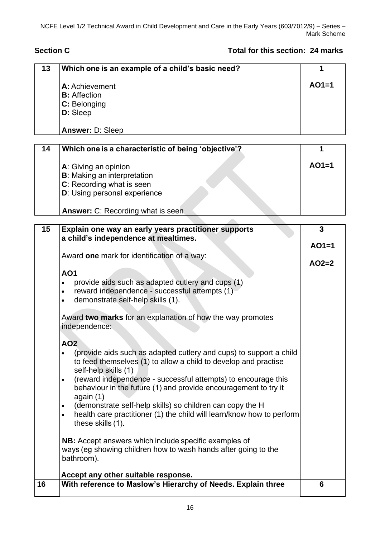### **Section C Total for this section: 24 marks**

| 13 | Which one is an example of a child's basic need?                                                                                      | 1       |
|----|---------------------------------------------------------------------------------------------------------------------------------------|---------|
|    | A: Achievement                                                                                                                        | $AO1=1$ |
|    | <b>B:</b> Affection                                                                                                                   |         |
|    | C: Belonging                                                                                                                          |         |
|    | D: Sleep                                                                                                                              |         |
|    | <b>Answer: D: Sleep</b>                                                                                                               |         |
|    |                                                                                                                                       |         |
| 14 | Which one is a characteristic of being 'objective'?                                                                                   | 1       |
|    | A: Giving an opinion                                                                                                                  | $AO1=1$ |
|    | <b>B</b> : Making an interpretation                                                                                                   |         |
|    | C: Recording what is seen                                                                                                             |         |
|    | D: Using personal experience                                                                                                          |         |
|    |                                                                                                                                       |         |
|    | Answer: C: Recording what is seen                                                                                                     |         |
| 15 | Explain one way an early years practitioner supports                                                                                  | 3       |
|    | a child's independence at mealtimes.                                                                                                  |         |
|    |                                                                                                                                       | $AO1=1$ |
|    | Award one mark for identification of a way:                                                                                           |         |
|    |                                                                                                                                       | $AO2=2$ |
|    | <b>AO1</b>                                                                                                                            |         |
|    | provide aids such as adapted cutlery and cups (1)<br>$\bullet$                                                                        |         |
|    | reward independence - successful attempts (1)<br>$\bullet$                                                                            |         |
|    | demonstrate self-help skills (1).                                                                                                     |         |
|    | Award two marks for an explanation of how the way promotes<br>independence:                                                           |         |
|    |                                                                                                                                       |         |
|    | AO2                                                                                                                                   |         |
|    | (provide aids such as adapted cutlery and cups) to support a child<br>to feed themselves (1) to allow a child to develop and practise |         |
|    | self-help skills (1)                                                                                                                  |         |
|    | (reward independence - successful attempts) to encourage this<br>٠<br>behaviour in the future (1) and provide encouragement to try it |         |
|    | again (1)                                                                                                                             |         |
|    | (demonstrate self-help skills) so children can copy the H                                                                             |         |
|    | health care practitioner (1) the child will learn/know how to perform<br>$\bullet$<br>these skills (1).                               |         |
|    | NB: Accept answers which include specific examples of                                                                                 |         |
|    | ways (eg showing children how to wash hands after going to the                                                                        |         |
|    | bathroom).                                                                                                                            |         |
|    | Accept any other suitable response.                                                                                                   |         |
| 16 | With reference to Maslow's Hierarchy of Needs. Explain three                                                                          | 6       |
|    |                                                                                                                                       |         |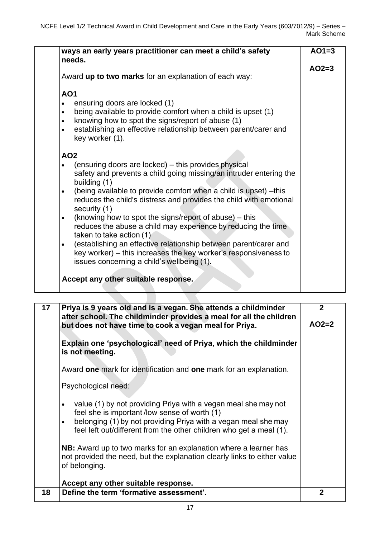|                 | Award up to two marks for an explanation of each way:                              | $AO2=3$ |
|-----------------|------------------------------------------------------------------------------------|---------|
| <b>AO1</b>      |                                                                                    |         |
|                 | ensuring doors are locked (1)                                                      |         |
| $\bullet$       | being available to provide comfort when a child is upset (1)                       |         |
| $\bullet$       | knowing how to spot the signs/report of abuse (1)                                  |         |
| $\bullet$       | establishing an effective relationship between parent/carer and<br>key worker (1). |         |
| AO <sub>2</sub> |                                                                                    |         |
|                 | (ensuring doors are locked) – this provides physical                               |         |
|                 | safety and prevents a child going missing/an intruder entering the                 |         |
|                 | building (1)                                                                       |         |
| $\bullet$       | (being available to provide comfort when a child is upset) -this                   |         |
|                 | reduces the child's distress and provides the child with emotional                 |         |
|                 | security (1)<br>(knowing how to spot the signs/report of abuse) – this             |         |
| $\bullet$       | reduces the abuse a child may experience by reducing the time                      |         |
|                 | taken to take action (1)                                                           |         |
| $\bullet$       | (establishing an effective relationship between parent/carer and                   |         |
|                 | key worker) – this increases the key worker's responsiveness to                    |         |
|                 | issues concerning a child's wellbeing (1).                                         |         |
|                 |                                                                                    |         |

| 17 <sub>1</sub> | Priya is 9 years old and is a vegan. She attends a childminder<br>after school. The childminder provides a meal for all the children<br>but does not have time to cook a vegan meal for Priya.                                                                       | $\mathbf{2}$<br>$AO2=2$ |
|-----------------|----------------------------------------------------------------------------------------------------------------------------------------------------------------------------------------------------------------------------------------------------------------------|-------------------------|
|                 | Explain one 'psychological' need of Priya, which the childminder<br>is not meeting.                                                                                                                                                                                  |                         |
|                 | Award one mark for identification and one mark for an explanation.                                                                                                                                                                                                   |                         |
|                 | Psychological need:                                                                                                                                                                                                                                                  |                         |
|                 | value (1) by not providing Priya with a vegan meal she may not<br>feel she is important/low sense of worth (1)<br>belonging (1) by not providing Priya with a vegan meal she may<br>$\bullet$<br>feel left out/different from the other children who get a meal (1). |                         |
|                 | <b>NB:</b> Award up to two marks for an explanation where a learner has<br>not provided the need, but the explanation clearly links to either value<br>of belonging.<br>Accept any other suitable response.                                                          |                         |
| 18              | Define the term 'formative assessment'.                                                                                                                                                                                                                              | 2                       |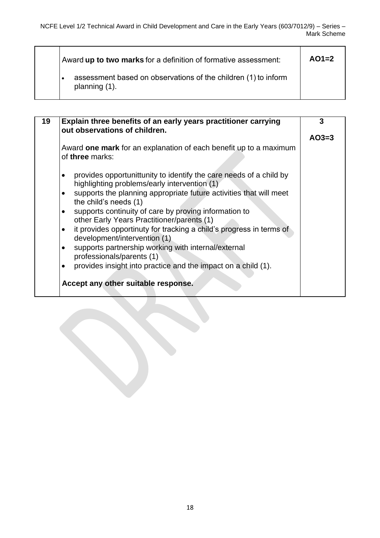| Award up to two marks for a definition of formative assessment:                 | $AO1=2$ |
|---------------------------------------------------------------------------------|---------|
| assessment based on observations of the children (1) to inform<br>planning (1). |         |

| 19 | Explain three benefits of an early years practitioner carrying<br>out observations of children.                     | 3       |
|----|---------------------------------------------------------------------------------------------------------------------|---------|
|    |                                                                                                                     | $AO3=3$ |
|    | Award one mark for an explanation of each benefit up to a maximum<br>of three marks:                                |         |
|    | provides opportunit tunity to identify the care needs of a child by<br>highlighting problems/early intervention (1) |         |
|    | supports the planning appropriate future activities that will meet<br>$\bullet$<br>the child's needs (1)            |         |
|    | supports continuity of care by proving information to<br>other Early Years Practitioner/parents (1)                 |         |
|    | it provides opportinuty for tracking a child's progress in terms of<br>development/intervention (1)                 |         |
|    | supports partnership working with internal/external<br>$\bullet$<br>professionals/parents (1)                       |         |
|    | provides insight into practice and the impact on a child (1).<br>$\bullet$                                          |         |
|    | Accept any other suitable response.                                                                                 |         |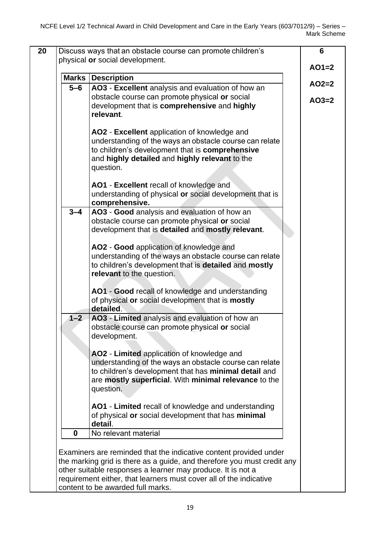| <b>Marks</b> | <b>Description</b>                                                                                                                                                                                                                   |                    |
|--------------|--------------------------------------------------------------------------------------------------------------------------------------------------------------------------------------------------------------------------------------|--------------------|
| $5 - 6$      | AO3 - Excellent analysis and evaluation of how an<br>obstacle course can promote physical or social<br>development that is comprehensive and highly<br>relevant.                                                                     | $AO2=2$<br>$AO3=2$ |
|              | AO2 - Excellent application of knowledge and<br>understanding of the ways an obstacle course can relate<br>to children's development that is comprehensive<br>and highly detailed and highly relevant to the<br>question.            |                    |
|              | AO1 - Excellent recall of knowledge and<br>understanding of physical or social development that is<br>comprehensive.                                                                                                                 |                    |
| $3 - 4$      | AO3 - Good analysis and evaluation of how an<br>obstacle course can promote physical or social<br>development that is detailed and mostly relevant.                                                                                  |                    |
|              | AO2 - Good application of knowledge and<br>understanding of the ways an obstacle course can relate<br>to children's development that is detailed and mostly<br>relevant to the question.                                             |                    |
|              | AO1 - Good recall of knowledge and understanding<br>of physical or social development that is mostly<br>detailed.                                                                                                                    |                    |
| $1 - 2$      | AO3 - Limited analysis and evaluation of how an<br>obstacle course can promote physical or social<br>development.                                                                                                                    |                    |
|              | AO2 - Limited application of knowledge and<br>understanding of the ways an obstacle course can relate<br>to children's development that has minimal detail and<br>are mostly superficial. With minimal relevance to the<br>question. |                    |
|              | AO1 - Limited recall of knowledge and understanding<br>of physical or social development that has minimal<br>detail.                                                                                                                 |                    |
| 0            | No relevant material                                                                                                                                                                                                                 |                    |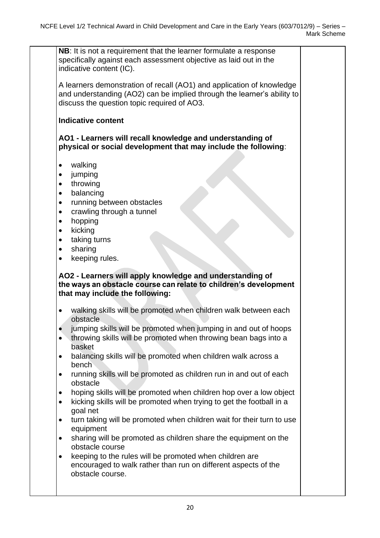**NB**: It is not a requirement that the learner formulate a response specifically against each assessment objective as laid out in the indicative content (IC).

A learners demonstration of recall (AO1) and application of knowledge and understanding (AO2) can be implied through the learner's ability to discuss the question topic required of AO3.

#### **Indicative content**

**AO1 - Learners will recall knowledge and understanding of physical or social development that may include the following**:

- walking
- jumping
- throwing
- balancing
- running between obstacles
- crawling through a tunnel
- hopping
- kicking
- taking turns
- sharing
- keeping rules.

#### **AO2 - Learners will apply knowledge and understanding of the ways an obstacle course can relate to children's development that may include the following:**

- walking skills will be promoted when children walk between each obstacle
- jumping skills will be promoted when jumping in and out of hoops
- throwing skills will be promoted when throwing bean bags into a basket
- balancing skills will be promoted when children walk across a bench
- running skills will be promoted as children run in and out of each obstacle
- hoping skills will be promoted when children hop over a low object
- kicking skills will be promoted when trying to get the football in a goal net
- turn taking will be promoted when children wait for their turn to use equipment
- sharing will be promoted as children share the equipment on the obstacle course
- keeping to the rules will be promoted when children are encouraged to walk rather than run on different aspects of the obstacle course.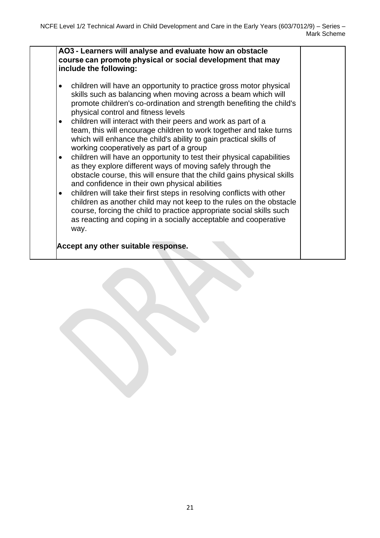#### **AO3 - Learners will analyse and evaluate how an obstacle course can promote physical or social development that may include the following:**

- children will have an opportunity to practice gross motor physical skills such as balancing when moving across a beam which will promote children's co-ordination and strength benefiting the child's physical control and fitness levels
- children will interact with their peers and work as part of a team, this will encourage children to work together and take turns which will enhance the child's ability to gain practical skills of working cooperatively as part of a group
- children will have an opportunity to test their physical capabilities as they explore different ways of moving safely through the obstacle course, this will ensure that the child gains physical skills and confidence in their own physical abilities
- children will take their first steps in resolving conflicts with other children as another child may not keep to the rules on the obstacle course, forcing the child to practice appropriate social skills such as reacting and coping in a socially acceptable and cooperative way.

**Accept any other suitable response.**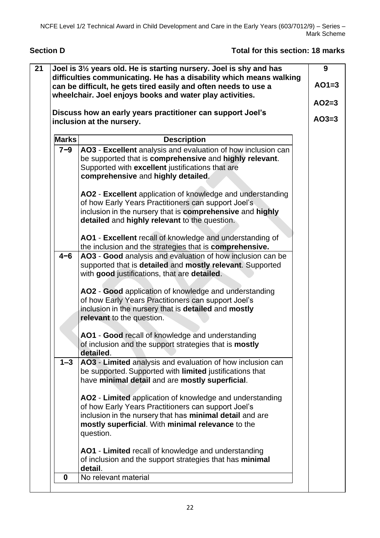**Section D Total for this section: 18 marks**

#### **21 Joel is 3½ years old. He is starting nursery. Joel is shy and has difficulties communicating. He has a disability which means walking can be difficult, he gets tired easily and often needs to use a wheelchair. Joel enjoys books and water play activities. Discuss how an early years practitioner can support Joel's inclusion at the nursery. Marks Description 7***−***9  AO3** - **Excellent** analysis and evaluation of how inclusion can be supported that is **comprehensive** and **highly relevant**. Supported with **excellent** justifications that are **comprehensive** and **highly detailed**. **AO2** - **Excellent** application of knowledge and understanding of how Early Years Practitioners can support Joel's inclusion in the nursery that is **comprehensive** and **highly detailed** and **highly relevant** to the question. **AO1** - **Excellent** recall of knowledge and understanding of the inclusion and the strategies that is **comprehensive. 4−6  AO3** - **Good** analysis and evaluation of how inclusion can be supported that is **detailed** and **mostly relevant**. Supported with **good** justifications, that are **detailed**. **AO2** - **Good** application of knowledge and understanding of how Early Years Practitioners can support Joel's inclusion in the nursery that is **detailed** and **mostly relevant** to the question. **AO1** - **Good** recall of knowledge and understanding of inclusion and the support strategies that is **mostly detailed**. **1–3 AO3** - **Limited** analysis and evaluation of how inclusion can be supported. Supported with **limited** justifications that have **minimal detail** and are **mostly superficial**. **AO2** - **Limited** application of knowledge and understanding of how Early Years Practitioners can support Joel's inclusion in the nursery that has **minimal detail** and are **mostly superficial**. With **minimal relevance** to the question. **AO1** - **Limited** recall of knowledge and understanding of inclusion and the support strategies that has **minimal detail**. **0** No relevant material  **9 AO1=3 AO2=3 AO3=3**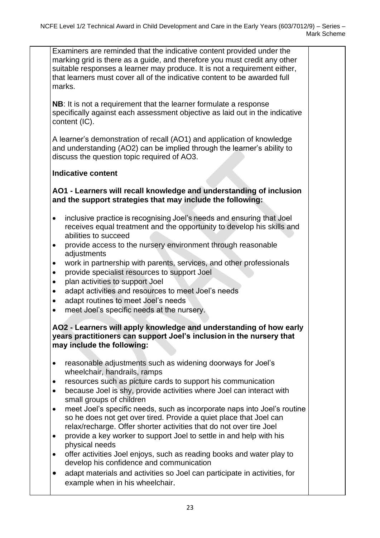Examiners are reminded that the indicative content provided under the marking grid is there as a guide, and therefore you must credit any other suitable responses a learner may produce. It is not a requirement either, that learners must cover all of the indicative content to be awarded full marks.

**NB**: It is not a requirement that the learner formulate a response specifically against each assessment objective as laid out in the indicative content (IC).

A learner's demonstration of recall (AO1) and application of knowledge and understanding (AO2) can be implied through the learner's ability to discuss the question topic required of AO3.

#### **Indicative content**

**AO1 - Learners will recall knowledge and understanding of inclusion and the support strategies that may include the following:**

- inclusive practice is recognising Joel's needs and ensuring that Joel receives equal treatment and the opportunity to develop his skills and abilities to succeed
- provide access to the nursery environment through reasonable adjustments
- work in partnership with parents, services, and other professionals
- provide specialist resources to support Joel
- plan activities to support Joel
- adapt activities and resources to meet Joel's needs
- adapt routines to meet Joel's needs
- meet Joel's specific needs at the nursery.

**AO2 - Learners will apply knowledge and understanding of how early years practitioners can support Joel's inclusion in the nursery that may include the following:**

- reasonable adjustments such as widening doorways for Joel's wheelchair, handrails, ramps
- resources such as picture cards to support his communication
- because Joel is shy, provide activities where Joel can interact with small groups of children
- meet Joel's specific needs, such as incorporate naps into Joel's routine so he does not get over tired. Provide a quiet place that Joel can relax/recharge. Offer shorter activities that do not over tire Joel
- provide a key worker to support Joel to settle in and help with his physical needs
- offer activities Joel enjoys, such as reading books and water play to develop his confidence and communication
- adapt materials and activities so Joel can participate in activities, for example when in his wheelchair.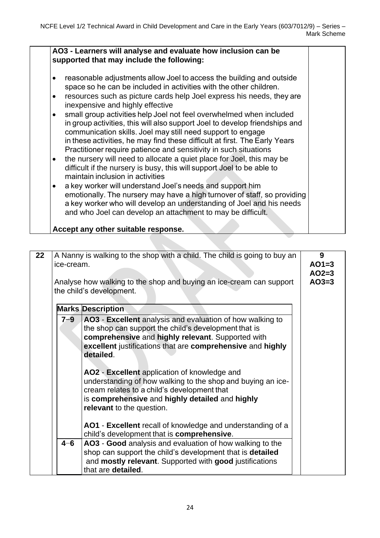#### **AO3 - Learners will analyse and evaluate how inclusion can be supported that may include the following:** • reasonable adjustments allow Joel to access the building and outside space so he can be included in activities with the other children.  • resources such as picture cards help Joel express his needs, they are inexpensive and highly effective • small group activities help Joel not feel overwhelmed when included in group activities, this will also support Joel to develop friendships and communication skills. Joel may still need support to engage in these activities, he may find these difficult at first. The Early Years Practitioner require patience and sensitivity in such situations • the nursery will need to allocate a quiet place for Joel, this may be difficult if the nursery is busy, this will support Joel to be able to maintain inclusion in activities • a key worker will understand Joel's needs and support him emotionally. The nursery may have a high turnover of staff, so providing a key worker who will develop an understanding of Joel and his needs and who Joel can develop an attachment to may be difficult. **Accept any other suitable response.**

| 22 | ice-cream. | A Nanny is walking to the shop with a child. The child is going to buy an<br>Analyse how walking to the shop and buying an ice-cream can support<br>the child's development.                                                                                                                                                                                                                                                                                                                                                                                                                                | 9<br>$AO1=3$<br>$AO2=3$<br>$AO3=3$ |
|----|------------|-------------------------------------------------------------------------------------------------------------------------------------------------------------------------------------------------------------------------------------------------------------------------------------------------------------------------------------------------------------------------------------------------------------------------------------------------------------------------------------------------------------------------------------------------------------------------------------------------------------|------------------------------------|
|    |            | <b>Marks Description</b>                                                                                                                                                                                                                                                                                                                                                                                                                                                                                                                                                                                    |                                    |
|    | $7 - 9$    | AO3 - Excellent analysis and evaluation of how walking to<br>the shop can support the child's development that is<br>comprehensive and highly relevant. Supported with<br>excellent justifications that are comprehensive and highly<br>detailed.<br>AO2 - Excellent application of knowledge and<br>understanding of how walking to the shop and buying an ice-<br>cream relates to a child's development that<br>is comprehensive and highly detailed and highly<br>relevant to the question.<br>AO1 - Excellent recall of knowledge and understanding of a<br>child's development that is comprehensive. |                                    |
|    | $4 - 6$    | AO3 - Good analysis and evaluation of how walking to the                                                                                                                                                                                                                                                                                                                                                                                                                                                                                                                                                    |                                    |
|    |            | shop can support the child's development that is <b>detailed</b>                                                                                                                                                                                                                                                                                                                                                                                                                                                                                                                                            |                                    |
|    |            | and mostly relevant. Supported with good justifications                                                                                                                                                                                                                                                                                                                                                                                                                                                                                                                                                     |                                    |
|    |            | that are detailed.                                                                                                                                                                                                                                                                                                                                                                                                                                                                                                                                                                                          |                                    |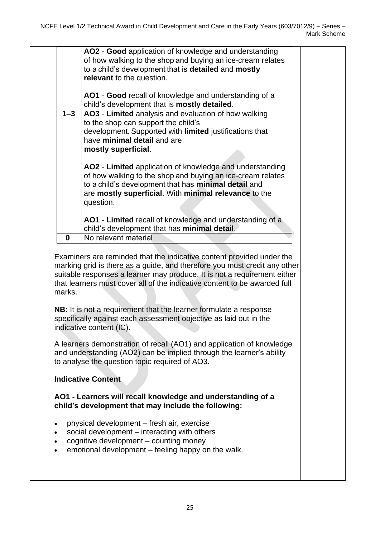|                                                                                                                                                                                                                                                | AO2 - Good application of knowledge and understanding<br>of how walking to the shop and buying an ice-cream relates<br>to a child's development that is detailed and mostly<br>relevant to the question.                                                                                                                                                                                                                                              |  |  |  |  |
|------------------------------------------------------------------------------------------------------------------------------------------------------------------------------------------------------------------------------------------------|-------------------------------------------------------------------------------------------------------------------------------------------------------------------------------------------------------------------------------------------------------------------------------------------------------------------------------------------------------------------------------------------------------------------------------------------------------|--|--|--|--|
|                                                                                                                                                                                                                                                | AO1 - Good recall of knowledge and understanding of a<br>child's development that is mostly detailed.                                                                                                                                                                                                                                                                                                                                                 |  |  |  |  |
| $1 - 3$                                                                                                                                                                                                                                        | AO3 - Limited analysis and evaluation of how walking<br>to the shop can support the child's<br>development. Supported with limited justifications that<br>have minimal detail and are<br>mostly superficial.                                                                                                                                                                                                                                          |  |  |  |  |
|                                                                                                                                                                                                                                                | AO2 - Limited application of knowledge and understanding<br>of how walking to the shop and buying an ice-cream relates<br>to a child's development that has minimal detail and<br>are mostly superficial. With minimal relevance to the<br>question.                                                                                                                                                                                                  |  |  |  |  |
|                                                                                                                                                                                                                                                | AO1 - Limited recall of knowledge and understanding of a<br>child's development that has minimal detail.                                                                                                                                                                                                                                                                                                                                              |  |  |  |  |
| 0                                                                                                                                                                                                                                              | No relevant material                                                                                                                                                                                                                                                                                                                                                                                                                                  |  |  |  |  |
| marks.                                                                                                                                                                                                                                         | Examiners are reminded that the indicative content provided under the<br>marking grid is there as a guide, and therefore you must credit any other<br>suitable responses a learner may produce. It is not a requirement either<br>that learners must cover all of the indicative content to be awarded full<br>NB: It is not a requirement that the learner formulate a response<br>specifically against each assessment objective as laid out in the |  |  |  |  |
|                                                                                                                                                                                                                                                | indicative content (IC).                                                                                                                                                                                                                                                                                                                                                                                                                              |  |  |  |  |
|                                                                                                                                                                                                                                                | A learners demonstration of recall (AO1) and application of knowledge<br>and understanding (AO2) can be implied through the learner's ability<br>to analyse the question topic required of AO3.                                                                                                                                                                                                                                                       |  |  |  |  |
|                                                                                                                                                                                                                                                | <b>Indicative Content</b>                                                                                                                                                                                                                                                                                                                                                                                                                             |  |  |  |  |
|                                                                                                                                                                                                                                                | AO1 - Learners will recall knowledge and understanding of a<br>child's development that may include the following:                                                                                                                                                                                                                                                                                                                                    |  |  |  |  |
| physical development – fresh air, exercise<br>$\bullet$<br>social development – interacting with others<br>$\bullet$<br>cognitive development – counting money<br>$\bullet$<br>emotional development – feeling happy on the walk.<br>$\bullet$ |                                                                                                                                                                                                                                                                                                                                                                                                                                                       |  |  |  |  |
|                                                                                                                                                                                                                                                |                                                                                                                                                                                                                                                                                                                                                                                                                                                       |  |  |  |  |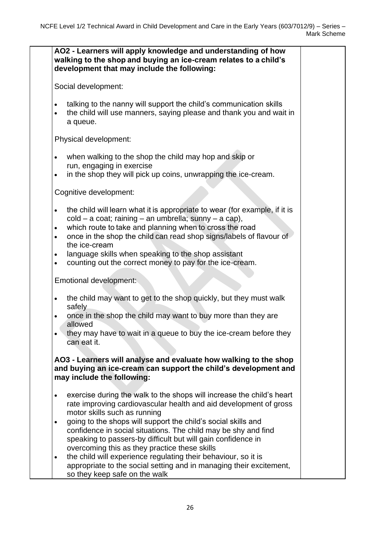|                                                               | AO2 - Learners will apply knowledge and understanding of how<br>walking to the shop and buying an ice-cream relates to a child's<br>development that may include the following:                                                                                                                                                                                                                           |  |
|---------------------------------------------------------------|-----------------------------------------------------------------------------------------------------------------------------------------------------------------------------------------------------------------------------------------------------------------------------------------------------------------------------------------------------------------------------------------------------------|--|
|                                                               | Social development:                                                                                                                                                                                                                                                                                                                                                                                       |  |
| $\bullet$<br>$\bullet$                                        | talking to the nanny will support the child's communication skills<br>the child will use manners, saying please and thank you and wait in<br>a queue.                                                                                                                                                                                                                                                     |  |
|                                                               | Physical development:                                                                                                                                                                                                                                                                                                                                                                                     |  |
| $\bullet$<br>$\bullet$                                        | when walking to the shop the child may hop and skip or<br>run, engaging in exercise<br>in the shop they will pick up coins, unwrapping the ice-cream.                                                                                                                                                                                                                                                     |  |
|                                                               | Cognitive development:                                                                                                                                                                                                                                                                                                                                                                                    |  |
| $\bullet$<br>$\bullet$<br>$\bullet$<br>$\bullet$<br>$\bullet$ | the child will learn what it is appropriate to wear (for example, if it is<br>cold - a coat; raining - an umbrella; sunny - a cap),<br>which route to take and planning when to cross the road<br>once in the shop the child can read shop signs/labels of flavour of<br>the ice-cream<br>language skills when speaking to the shop assistant<br>counting out the correct money to pay for the ice-cream. |  |
|                                                               | Emotional development:                                                                                                                                                                                                                                                                                                                                                                                    |  |
| $\bullet$<br>$\bullet$                                        | the child may want to get to the shop quickly, but they must walk<br>safely<br>once in the shop the child may want to buy more than they are<br>allowed<br>they may have to wait in a queue to buy the ice-cream before they<br>can eat it.                                                                                                                                                               |  |
|                                                               | AO3 - Learners will analyse and evaluate how walking to the shop<br>and buying an ice-cream can support the child's development and<br>may include the following:                                                                                                                                                                                                                                         |  |
| $\bullet$                                                     | exercise during the walk to the shops will increase the child's heart<br>rate improving cardiovascular health and aid development of gross<br>motor skills such as running                                                                                                                                                                                                                                |  |
| $\bullet$                                                     | going to the shops will support the child's social skills and<br>confidence in social situations. The child may be shy and find<br>speaking to passers-by difficult but will gain confidence in                                                                                                                                                                                                           |  |
| $\bullet$                                                     | overcoming this as they practice these skills<br>the child will experience regulating their behaviour, so it is<br>appropriate to the social setting and in managing their excitement,<br>so they keep safe on the walk                                                                                                                                                                                   |  |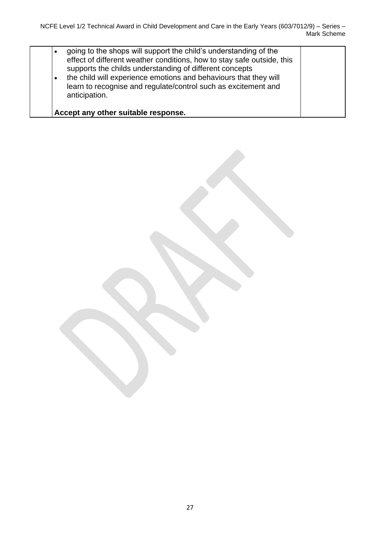| going to the shops will support the child's understanding of the<br>effect of different weather conditions, how to stay safe outside, this<br>supports the childs understanding of different concepts<br>the child will experience emotions and behaviours that they will<br>$\bullet$<br>learn to recognise and regulate/control such as excitement and<br>anticipation. |  |
|---------------------------------------------------------------------------------------------------------------------------------------------------------------------------------------------------------------------------------------------------------------------------------------------------------------------------------------------------------------------------|--|
| Accept any other suitable response.                                                                                                                                                                                                                                                                                                                                       |  |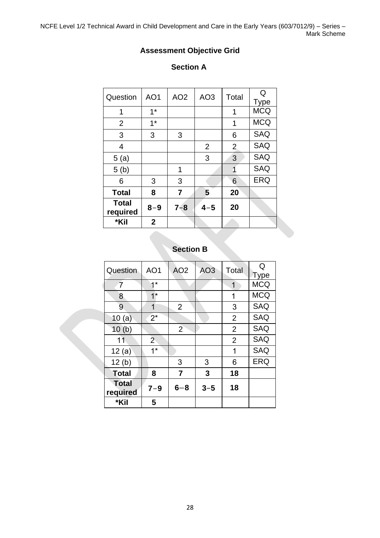NCFE Level 1/2 Technical Award in Child Development and Care in the Early Years (603/7012/9) – Series – Mark Scheme

### **Assessment Objective Grid**

#### **Section A**

| Question                 | AO <sub>1</sub> | AO <sub>2</sub> | AO <sub>3</sub> | Total          | Q<br>Type  |
|--------------------------|-----------------|-----------------|-----------------|----------------|------------|
| 1                        | $1*$            |                 |                 | 1              | <b>MCQ</b> |
| 2                        | $1*$            |                 |                 | 1              | <b>MCQ</b> |
| 3                        | 3               | 3               |                 | 6              | <b>SAQ</b> |
| 4                        |                 |                 | $\overline{2}$  | $\overline{2}$ | <b>SAQ</b> |
| 5(a)                     |                 |                 | 3               | 3              | <b>SAQ</b> |
| 5(b)                     |                 | 1               |                 | 1              | <b>SAQ</b> |
| 6                        | 3               | 3               |                 | 6              | <b>ERQ</b> |
| <b>Total</b>             | 8               | 7               | 5               | 20             |            |
| <b>Total</b><br>required | $8 - 9$         | $7 - 8$         | $4 - 5$         | 20             |            |
| *Kil                     | $\mathbf{2}$    |                 |                 |                |            |

## **Section B**

| Question                 | AO <sub>1</sub> | AO <sub>2</sub> | AO <sub>3</sub> | Total          | Q<br><b>Type</b> |
|--------------------------|-----------------|-----------------|-----------------|----------------|------------------|
| $\overline{7}$           | $1*$            |                 |                 | 1              | <b>MCQ</b>       |
| 8                        | $1^*$           |                 |                 | 1              | <b>MCQ</b>       |
| 9                        | 1               | $\overline{2}$  |                 | 3              | <b>SAQ</b>       |
| 10(a)                    | $2^*$           |                 |                 | $\overline{2}$ | <b>SAQ</b>       |
| 10(b)                    |                 | $\overline{2}$  |                 | $\overline{2}$ | <b>SAQ</b>       |
| 11                       | $\overline{2}$  |                 |                 | $\overline{2}$ | <b>SAQ</b>       |
| 12(a)                    | $1^*$           |                 |                 | 1              | <b>SAQ</b>       |
| 12(b)                    |                 | 3               | 3               | 6              | ERQ              |
| <b>Total</b>             | 8               | $\overline{7}$  | 3               | 18             |                  |
| <b>Total</b><br>required | $7 - 9$         | $6 - 8$         | $3 - 5$         | 18             |                  |
| *Kil                     | 5               |                 |                 |                |                  |